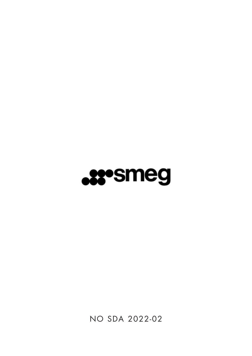

NO SDA 2022-02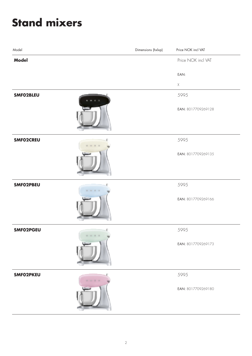### **Stand mixers**

| Model     |         | Dimensions (hxlxp) | Price NOK incl VAT |
|-----------|---------|--------------------|--------------------|
| Model     |         |                    | Price NOK incl VAT |
|           |         |                    | EAN:               |
|           |         |                    | $\mathsf X$        |
| SMF02BLEU | $B$ $B$ |                    | 5995               |
|           |         |                    | EAN: 8017709269128 |
| SMF02CREU |         |                    | 5995               |
|           |         |                    | EAN: 8017709269135 |
| SMF02PBEU |         |                    | 5995               |
|           |         |                    | EAN: 8017709269166 |
| SMF02PGEU | .       |                    | 5995               |
|           |         |                    | EAN: 8017709269173 |
| SMF02PKEU |         |                    | 5995               |
|           |         |                    | EAN: 8017709269180 |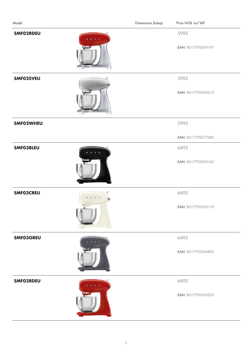| Model            | Dimensions (hxlxp) | Price NOK incl VAT         |
|------------------|--------------------|----------------------------|
| SMF02RDEU        |                    | 5995<br>EAN: 8017709269197 |
| SMF02SVEU        |                    | 5995<br>EAN: 8017709269210 |
| SMF02WHEU        |                    | 5995<br>EAN: 8017709277680 |
| <b>SMFO3BLEU</b> |                    | 6495<br>EAN: 8017709269142 |
| <b>SMFO3CREU</b> |                    | 6495<br>EAN: 8017709269159 |
| <b>SMF03GREU</b> |                    | 6495<br>EAN: 8017709294892 |
| <b>SMFO3RDEU</b> |                    | 6495<br>EAN: 8017709269203 |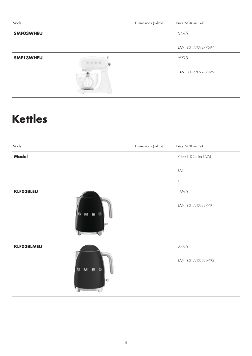| Model                | Dimensions (hxlxp) | Price NOK incl VAT |
|----------------------|--------------------|--------------------|
| SMF03WHEU            |                    | 6495               |
|                      |                    | EAN: 8017709277697 |
| <b>SMF13WHEU</b><br> |                    | 6995               |
| <b>REGIST</b>        |                    | EAN: 8017709272395 |

### **Kettles**

| Model             | Dimensions (hxlxp) | Price NOK incl VAT |
|-------------------|--------------------|--------------------|
| <b>Model</b>      |                    | Price NOK incl VAT |
|                   |                    | EAN:               |
|                   |                    | $\mathsf X$        |
| <b>KLFO3BLEU</b>  |                    | 1995               |
| S M E G           |                    | EAN: 8017709227791 |
| <b>KLFO3BLMEU</b> |                    | 2395               |
| $M \in G$<br>s    |                    | EAN: 8017709290795 |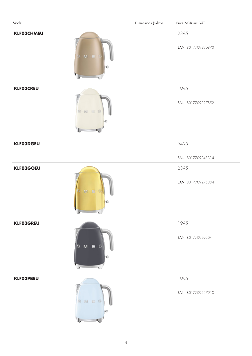| Model             |              | Dimensions (hxlxp) | Price NOK incl VAT         |
|-------------------|--------------|--------------------|----------------------------|
| <b>KLFO3CHMEU</b> | $M$ E<br>5   |                    | 2395<br>EAN: 8017709290870 |
| <b>KLFO3CREU</b>  | 8 N E G      |                    | 1995<br>EAN: 8017709227852 |
| <b>KLFO3DGEU</b>  |              |                    | 6495                       |
|                   |              |                    | EAN: 8017709248314         |
| <b>KLF03GOEU</b>  |              |                    | 2395                       |
|                   | $M - E$<br>c |                    | EAN: 8017709275334         |
| <b>KLFO3GREU</b>  |              |                    | 1995                       |
|                   | S M E G      |                    | EAN: 8017709292041         |
| <b>KLFO3PBEU</b>  |              |                    | 1995                       |
|                   | SMER         |                    | EAN: 8017709227913         |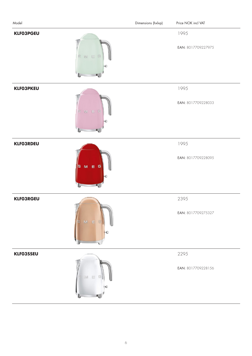| Model                              | Dimensions (hxlxp) | Price NOK incl VAT         |
|------------------------------------|--------------------|----------------------------|
| <b>KLF03PGEU</b><br>8 32 E G       |                    | 1995<br>EAN: 8017709227975 |
| <b>KLFO3PKEU</b><br><b>BWE</b>     |                    | 1995<br>EAN: 8017709228033 |
| <b>KLFO3RDEU</b><br>$M \in G$<br>s |                    | 1995<br>EAN: 8017709228095 |
| <b>KLFO3RGEU</b><br>M.             |                    | 2395<br>EAN: 8017709275327 |
| <b>KLFO3SSEU</b><br><b>Bill</b>    |                    | 2295<br>EAN: 8017709228156 |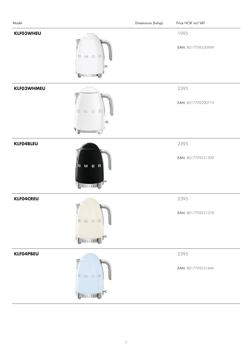| Model             |                    | Dimensions (hxlxp) | Price NOK incl VAT         |
|-------------------|--------------------|--------------------|----------------------------|
| <b>KLFO3WHEU</b>  | 财世                 |                    | 1995                       |
| S.                | G                  |                    | EAN: 8017709230999         |
| <b>KLFO3WHMEU</b> | M E                |                    | 2395                       |
| s                 | G                  |                    | EAN: 8017709290719         |
| <b>KLFO4BLEU</b>  | $M \in G$          |                    | 2395                       |
| ls.               | 1111111            |                    | EAN: 8017709231309         |
| <b>KLFO4CREU</b>  | 3 N E D<br>1111111 |                    | 2395<br>EAN: 8017709231378 |
| <b>KLFO4PBEU</b>  | 3 B E D            |                    | 2395<br>EAN: 8017709231446 |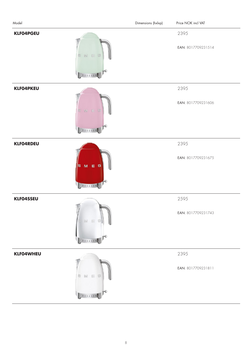| Model                 |                                | Dimensions (hxlxp) | Price NOK incl VAT         |
|-----------------------|--------------------------------|--------------------|----------------------------|
| <b>KLFO4PGEU</b>      | S N E<br>$\sqrt{2}$<br>1111111 |                    | 2395<br>EAN: 8017709231514 |
| <b>KLFO4PKEU</b>      | SWE<br><b>IG</b><br>333334     |                    | 2395<br>EAN: 8017709231606 |
| <b>KLFO4RDEU</b><br>s | $M \in G$<br>4141444           |                    | 2395<br>EAN: 8017709231675 |
| KLF04SSEU             | 197.<br>222228                 |                    | 2595<br>EAN: 8017709231743 |
| <b>KLFO4WHEU</b><br>忽 | M E<br>2222222                 |                    | 2395<br>EAN: 8017709231811 |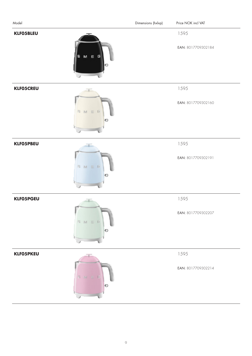| Model                              | Dimensions (hxlxp)<br>Price NOK incl VAT |
|------------------------------------|------------------------------------------|
| <b>KLFO5BLEU</b><br>$M \in G$<br>s | 1595<br>EAN: 8017709302184               |
| <b>KLFO5CREU</b><br>S M E B        | 1595<br>EAN: 8017709302160               |
| <b>KLFO5PBEU</b><br>S M E B        | 1595<br>EAN: 8017709302191<br>e          |
| <b>KLFO5PGEU</b><br>S M E R        | 1595<br>EAN: 8017709302207<br>o          |
| <b>KLFO5PKEU</b><br>S M E B        | 1595<br>EAN: 8017709302214<br>o          |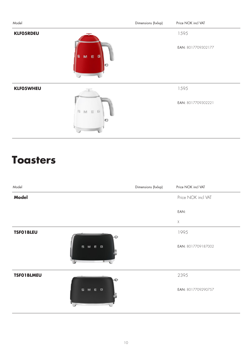| Model            |                | Dimensions (hxlxp) | Price NOK incl VAT |  |
|------------------|----------------|--------------------|--------------------|--|
| <b>KLFO5RDEU</b> |                |                    | 1595               |  |
|                  | $M \in G$<br>s |                    | EAN: 8017709302177 |  |
| <b>KLFO5WHEU</b> |                |                    | 1595               |  |
|                  | S M E G<br>o   |                    | EAN: 8017709302221 |  |

#### **Toasters**

| Model              | Dimensions (hxlxp) | Price NOK incl VAT |
|--------------------|--------------------|--------------------|
| <b>Model</b>       |                    | Price NOK incl VAT |
|                    |                    | EAN:               |
|                    |                    | $\mathsf X$        |
| <b>TSFO1BLEU</b>   |                    | 1995               |
| s<br>- 6<br>M<br>е |                    | EAN: 8017709187002 |
| <b>TSFO1BLMEU</b>  |                    | 2395               |
| E G<br>s<br>M      |                    | EAN: 8017709290757 |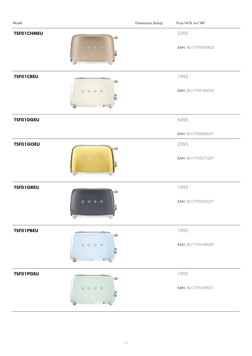| Model             |         | Dimensions (hxlxp) | Price NOK incl VAT |
|-------------------|---------|--------------------|--------------------|
| <b>TSFO1CHMEU</b> | Đ.      |                    | 2395               |
|                   | S M E G |                    | EAN: 8017709290832 |
| <b>TSFO1CREU</b>  |         |                    | 1995               |
|                   | B M E B |                    | EAN: 8017709186920 |
| <b>TSFO1DGEU</b>  |         |                    | 6495               |
|                   |         |                    | EAN: 8017709248291 |
| <b>TSF01GOEU</b>  |         |                    | 2395               |
|                   | $x = x$ |                    | EAN: 8017709275297 |
| <b>TSFO1GREU</b>  |         |                    | 1995               |
|                   | SMEG    |                    | EAN: 8017709292027 |
| <b>TSFO1PBEU</b>  |         |                    | 1995               |
|                   | B M H B |                    | EAN: 8017709189099 |
| <b>TSFO1PGEU</b>  |         |                    | 1995               |
|                   | B M B B |                    | EAN: 8017709189051 |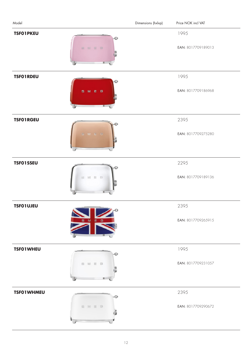| Model             |              | Dimensions (hxlxp) | Price NOK incl VAT         |
|-------------------|--------------|--------------------|----------------------------|
| <b>TSFO1PKEU</b>  | ■ Rf ■ DF    |                    | 1995<br>EAN: 8017709189013 |
| <b>TSFO1RDEU</b>  | M.E.G<br>5   |                    | 1995<br>EAN: 8017709186968 |
| <b>TSFO1RGEU</b>  | MEG          |                    | 2395<br>EAN: 8017709275280 |
| <b>TSFO1SSEU</b>  | $M \equiv 0$ |                    | 2295<br>EAN: 8017709189136 |
| <b>TSFO1UJEU</b>  | M            |                    | 2395<br>EAN: 8017709265915 |
| <b>TSFO1WHEU</b>  | 5 M E B      |                    | 1995<br>EAN: 8017709231057 |
| <b>TSFO1WHMEU</b> | 5 M E 0      |                    | 2395<br>EAN: 8017709290672 |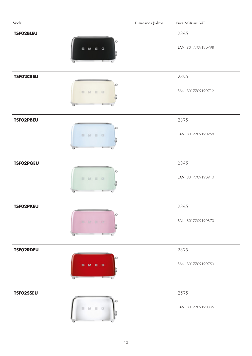| Model            |                             | Dimensions (hxlxp) | Price NOK incl VAT |
|------------------|-----------------------------|--------------------|--------------------|
| <b>TSFO2BLEU</b> |                             |                    | 2395               |
|                  | $\mathbf{G}$<br>5<br>M<br>Е |                    | EAN: 8017709190798 |
| <b>TSFO2CREU</b> |                             |                    | 2395               |
|                  | EMER                        |                    | EAN: 8017709190712 |
| <b>TSFO2PBEU</b> |                             |                    | 2395               |
|                  | BMBB                        |                    | EAN: 8017709190958 |
| <b>TSFO2PGEU</b> |                             |                    | 2395               |
|                  | 图 M 目 B                     |                    | EAN: 8017709190910 |
| <b>TSFO2PKEU</b> |                             |                    | 2395               |
|                  | D<br>田 新 田 (                |                    | EAN: 8017709190873 |
| TSF02RDEU        |                             |                    | 2395               |
|                  | M E G<br>s                  |                    | EAN: 8017709190750 |
| TSF02SSEU        |                             |                    | 2595               |
|                  |                             |                    | EAN: 8017709190835 |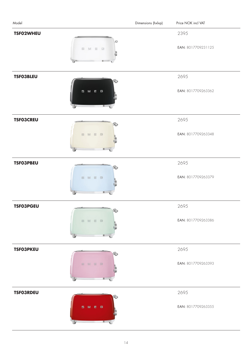| Model            |         | Dimensions (hxlxp) | Price NOK incl VAT         |
|------------------|---------|--------------------|----------------------------|
| <b>TSF02WHEU</b> | SMED    |                    | 2395<br>EAN: 8017709231125 |
|                  |         |                    |                            |
| <b>TSFO3BLEU</b> |         |                    | 2695                       |
|                  | SME G   |                    | EAN: 8017709263362         |
| <b>TSFO3CREU</b> |         |                    | 2695                       |
|                  | B M E B |                    | EAN: 8017709263348         |
| <b>TSFO3PBEU</b> |         |                    | 2695                       |
|                  | B M H B |                    | EAN: 8017709263379         |
| <b>TSFO3PGEU</b> | 50      |                    | 2695                       |
|                  | B M B B |                    | EAN: 8017709263386         |
| <b>TSFO3PKEU</b> |         |                    | 2695                       |
|                  | ■ 新 国 陸 |                    | EAN: 8017709263393         |
| <b>TSFO3RDEU</b> |         |                    | 2695                       |
|                  | SMEG    |                    | EAN: 8017709263355         |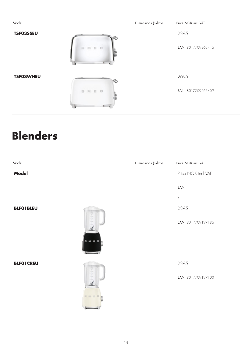| Model            |                       | Dimensions (hxlxp) | Price NOK incl VAT |
|------------------|-----------------------|--------------------|--------------------|
| <b>TSFO3SSEU</b> |                       |                    | 2895               |
|                  | M E B<br><b>SIL</b>   |                    | EAN: 8017709263416 |
| <b>TSF03WHEU</b> |                       |                    | 2695               |
|                  | M E B<br>$\mathbb{Z}$ |                    | EAN: 8017709263409 |

#### **Blenders**

| Model            | Dimensions (hxlxp) | Price NOK incl VAT |
|------------------|--------------------|--------------------|
| <b>Model</b>     |                    | Price NOK incl VAT |
|                  |                    | EAN:               |
|                  |                    | $\mathsf X$        |
| <b>BLFO1BLEU</b> |                    | 2895               |
| M                |                    | EAN: 8017709197186 |
| <b>BLFO1CREU</b> |                    | 2895               |
| 址 24 日 日         |                    | EAN: 8017709197100 |
|                  |                    |                    |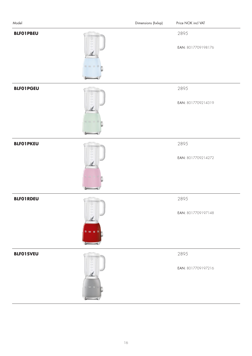| Model            |                    | Dimensions (hxlxp) | Price NOK incl VAT         |
|------------------|--------------------|--------------------|----------------------------|
| <b>BLFO1PBEU</b> | $1 - 34 = 11 - 13$ |                    | 2895<br>EAN: 8017709198176 |
| <b>BLFO1PGEU</b> |                    |                    | 2895<br>EAN: 8017709214319 |
| <b>BLFO1PKEU</b> |                    |                    | 2895<br>EAN: 8017709214272 |
| <b>BLFO1RDEU</b> |                    |                    | 2895<br>EAN: 8017709197148 |
| <b>BLFO1SVEU</b> |                    |                    | 2895<br>EAN: 8017709197216 |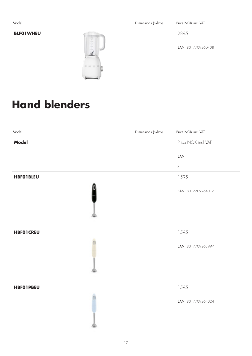| Model            |                         | Dimensions (hxlxp) | Price NOK incl VAT |
|------------------|-------------------------|--------------------|--------------------|
| <b>BLFO1WHEU</b> | z                       |                    | 2895               |
|                  | Taylor,<br><b>High-</b> |                    | EAN: 8017709260408 |
|                  | <b>BM H30</b>           |                    |                    |

### **Hand blenders**

| Model            | Dimensions (hxlxp) | Price NOK incl VAT |
|------------------|--------------------|--------------------|
| <b>Model</b>     |                    | Price NOK incl VAT |
|                  |                    | EAN:               |
|                  |                    | $\mathsf X$        |
| <b>HBFO1BLEU</b> |                    | 1595               |
|                  |                    | EAN: 8017709264017 |
|                  |                    |                    |
| <b>HBFO1CREU</b> |                    | 1595               |
|                  |                    | EAN: 8017709263997 |
|                  |                    |                    |
| <b>HBFO1PBEU</b> |                    | 1595               |
|                  |                    | EAN: 8017709264024 |
|                  |                    |                    |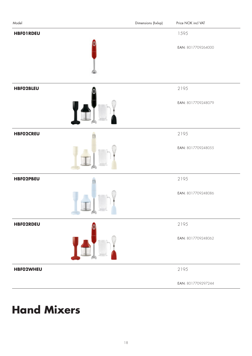| Model            |                                                                                                                                                                                                                                                                                                                                                                        | Dimensions (hxlxp) | Price NOK incl VAT |
|------------------|------------------------------------------------------------------------------------------------------------------------------------------------------------------------------------------------------------------------------------------------------------------------------------------------------------------------------------------------------------------------|--------------------|--------------------|
| <b>HBFO1RDEU</b> |                                                                                                                                                                                                                                                                                                                                                                        |                    | 1595               |
|                  |                                                                                                                                                                                                                                                                                                                                                                        |                    | EAN: 8017709264000 |
|                  |                                                                                                                                                                                                                                                                                                                                                                        |                    |                    |
| <b>HBFO2BLEU</b> |                                                                                                                                                                                                                                                                                                                                                                        |                    | 2195               |
|                  |                                                                                                                                                                                                                                                                                                                                                                        |                    | EAN: 8017709248079 |
| <b>HBFO2CREU</b> |                                                                                                                                                                                                                                                                                                                                                                        |                    | 2195               |
|                  | 102223                                                                                                                                                                                                                                                                                                                                                                 |                    | EAN: 8017709248055 |
| <b>HBFO2PBEU</b> |                                                                                                                                                                                                                                                                                                                                                                        |                    | 2195               |
|                  | 'A)<br>$\frac{1}{2} \sum_{i=1}^{n} \frac{1}{2} \sum_{i=1}^{n} \frac{1}{2} \sum_{i=1}^{n} \frac{1}{2} \sum_{i=1}^{n} \frac{1}{2} \sum_{i=1}^{n} \frac{1}{2} \sum_{i=1}^{n} \frac{1}{2} \sum_{i=1}^{n} \frac{1}{2} \sum_{i=1}^{n} \frac{1}{2} \sum_{i=1}^{n} \frac{1}{2} \sum_{i=1}^{n} \frac{1}{2} \sum_{i=1}^{n} \frac{1}{2} \sum_{i=1}^{n} \frac{1}{2} \sum_{i=1}^{n$ |                    | EAN: 8017709248086 |
| <b>HBFO2RDEU</b> |                                                                                                                                                                                                                                                                                                                                                                        |                    | 2195               |
|                  |                                                                                                                                                                                                                                                                                                                                                                        |                    | EAN: 8017709248062 |
| <b>HBFO2WHEU</b> |                                                                                                                                                                                                                                                                                                                                                                        |                    | 2195               |
|                  |                                                                                                                                                                                                                                                                                                                                                                        |                    | EAN: 8017709297244 |

### **Hand Mixers**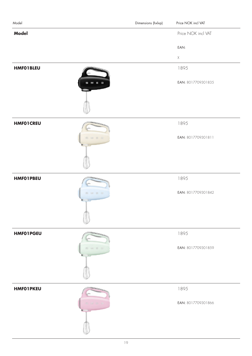| Model            |              | Dimensions (hxlxp) | Price NOK incl VAT |
|------------------|--------------|--------------------|--------------------|
| <b>Model</b>     |              |                    | Price NOK incl VAT |
|                  |              |                    | EAN:               |
|                  |              |                    | $\mathsf X$        |
| <b>HMFO1BLEU</b> |              |                    | 1895               |
|                  | $M \in G$    |                    | EAN: 8017709301835 |
|                  |              |                    |                    |
| <b>HMFO1CREU</b> |              |                    | 1895               |
|                  | <b>M 国 国</b> |                    | EAN: 8017709301811 |
|                  |              |                    |                    |
| <b>HMFO1PBEU</b> |              |                    | 1895               |
|                  | 1.14.1       |                    | EAN: 8017709301842 |
|                  |              |                    |                    |
| <b>HMFO1PGEU</b> |              |                    | 1895               |
|                  | M 三 口        |                    | EAN: 8017709301859 |
|                  |              |                    |                    |
| <b>HMFO1PKEU</b> |              |                    | 1895               |
|                  |              |                    | EAN: 8017709301866 |
|                  |              |                    |                    |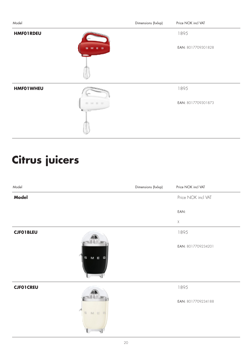| Model            |             | Dimensions (hxlxp) | Price NOK incl VAT |
|------------------|-------------|--------------------|--------------------|
| <b>HMFO1RDEU</b> |             |                    | 1895               |
|                  |             |                    | EAN: 8017709301828 |
|                  |             |                    |                    |
| <b>HMFO1WHEU</b> |             |                    | 1895               |
|                  | <b>BMBG</b> |                    | EAN: 8017709301873 |
|                  |             |                    |                    |

# **Citrus juicers**

| Model              | Dimensions (hxlxp) | Price NOK incl VAT |
|--------------------|--------------------|--------------------|
| Model              |                    | Price NOK incl VAT |
|                    |                    | EAN:               |
|                    |                    | $\mathsf X$        |
| <b>CJFO1BLEU</b>   |                    | 1895               |
| M                  |                    | EAN: 8017709234201 |
| <b>CJFO1CREU</b>   |                    | 1895               |
| $M \equiv 0$<br>E. |                    | EAN: 8017709234188 |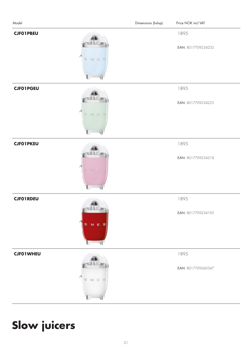| Model            |           | Dimensions (hxlxp) | Price NOK incl VAT         |
|------------------|-----------|--------------------|----------------------------|
| <b>CJFO1PBEU</b> | M E<br>B. |                    | 1895<br>EAN: 8017709234232 |
| <b>CJF01PGEU</b> | M E       |                    | 1895<br>EAN: 8017709234225 |
| <b>CJFO1PKEU</b> | <b>YA</b> |                    | 1895<br>EAN: 8017709234218 |
| <b>CJFO1RDEU</b> | S M E G   |                    | 1895<br>EAN: 8017709234195 |
| <b>CJF01WHEU</b> | M.E       |                    | 1895<br>EAN: 8017709260347 |

### **Slow juicers**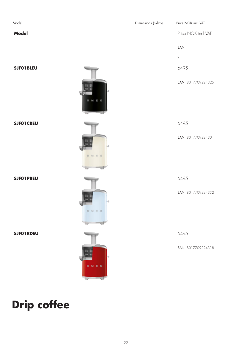| Model            | Dimensions (hxlxp) | Price NOK incl VAT |
|------------------|--------------------|--------------------|
| <b>Model</b>     |                    | Price NOK incl VAT |
|                  |                    | EAN:               |
|                  |                    | $\mathsf X$        |
| <b>SJFO1BLEU</b> |                    | 6495               |
| <b>BMEG</b>      |                    | EAN: 8017709224325 |
| <b>SJFO1CREU</b> |                    | 6495               |
| <b>BMED</b>      |                    | EAN: 8017709224301 |
|                  |                    |                    |
| <b>SJFO1PBEU</b> |                    | 6495               |
| ١đ<br>M E E      |                    | EAN: 8017709224332 |
| <b>SJFO1RDEU</b> |                    | 6495               |
|                  |                    |                    |
| $B$ $B$          |                    | EAN: 8017709224318 |

### **Drip coffee**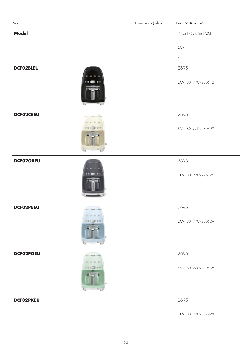| Model            |              | Dimensions (hxlxp) | Price NOK incl VAT |
|------------------|--------------|--------------------|--------------------|
| <b>Model</b>     |              |                    | Price NOK incl VAT |
|                  |              |                    | EAN:               |
|                  |              |                    | $\mathsf X$        |
| DCF02BLEU        |              |                    | 2695               |
|                  |              |                    | EAN: 8017709280512 |
| <b>DCFO2CREU</b> |              |                    | 2695               |
|                  | $\mathbb{F}$ |                    | EAN: 8017709280499 |
| <b>DCFO2GREU</b> |              |                    | 2695               |
|                  |              |                    | EAN: 8017709296896 |
| DCF02PBEU        |              |                    | 2695               |
|                  | 99C          |                    | EAN: 8017709280529 |
| DCF02PGEU        |              |                    | 2695               |
|                  |              |                    | EAN: 8017709280536 |
| <b>DCFO2PKEU</b> |              |                    | 2695               |
|                  |              |                    | EAN: 8017709302993 |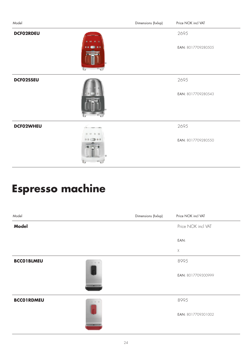| Model     |    | Dimensions (hxlxp) | Price NOK incl VAT |
|-----------|----|--------------------|--------------------|
| DCF02RDEU |    |                    | 2695               |
|           |    |                    | EAN: 8017709280505 |
| DCF02SSEU |    |                    | 2695               |
|           |    |                    |                    |
|           |    |                    | EAN: 8017709280543 |
|           |    |                    |                    |
| DCF02WHEU |    |                    | 2695               |
|           | 09 |                    | EAN: 8017709280550 |
|           |    |                    |                    |
|           |    |                    |                    |

## **Espresso machine**

| Model             |                    | Dimensions (hxlxp) | Price NOK incl VAT |
|-------------------|--------------------|--------------------|--------------------|
| <b>Model</b>      |                    |                    | Price NOK incl VAT |
|                   |                    |                    | EAN:               |
|                   |                    |                    | $\mathsf X$        |
| <b>BCCO1BLMEU</b> | $-1110$            |                    | 8995               |
|                   | <b>STELLARTER</b>  |                    | EAN: 8017709300999 |
|                   |                    |                    |                    |
| <b>BCCO1RDMEU</b> | $31 - 11 - 45$     |                    | 8995               |
|                   | <b>CERTIFICATE</b> |                    | EAN: 8017709301002 |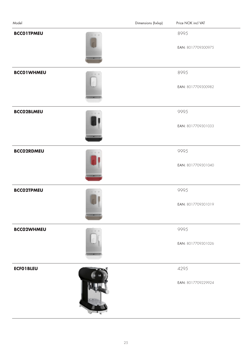| Model                                         | Dimensions (hxlxp) | Price NOK incl VAT         |
|-----------------------------------------------|--------------------|----------------------------|
| <b>BCCO1TPMEU</b><br>百日子<br><b>COLLABOR</b>   |                    | 8995<br>EAN: 8017709300975 |
| <b>BCCO1WHMEU</b>                             |                    | 8995<br>EAN: 8017709300982 |
| <b>BCCO2BLMEU</b><br>计目中                      |                    | 9995<br>EAN: 8017709301033 |
| <b>BCCO2RDMEU</b><br><b>WE SHE AND</b>        |                    | 9995<br>EAN: 8017709301040 |
| <b>BCCO2TPMEU</b><br>百日二<br><b>CONTRACTOR</b> |                    | 9995<br>EAN: 8017709301019 |
| <b>BCCO2WHMEU</b>                             |                    | 9995<br>EAN: 8017709301026 |
| <b>ECFO1BLEU</b>                              |                    | 4295<br>EAN: 8017709229924 |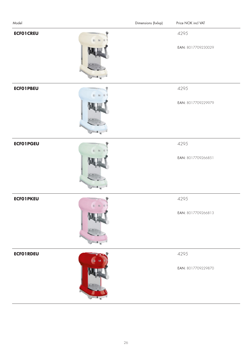| Model                                                              | Dimensions (hxlxp)<br>Price NOK incl VAT |
|--------------------------------------------------------------------|------------------------------------------|
| <b>ECFO1CREU</b>                                                   | 4295<br>EAN: 8017709230029               |
| <b>ECFO1PBEU</b>                                                   | 4295<br>EAN: 8017709229979               |
| <b>ECFO1PGEU</b>                                                   | 4295<br>EAN: 8017709266851               |
| <b>ECFO1PKEU</b><br>$\mathbb{E} \quad \mathbb{N} \quad \mathbb{E}$ | 4295<br>EAN: 8017709266813               |
| <b>ECFO1RDEU</b>                                                   | 4295<br>EAN: 8017709229870               |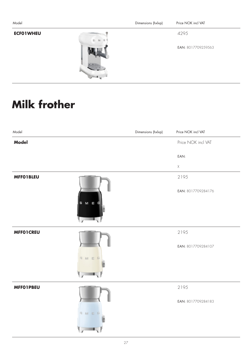| Model            |          | Dimensions (hxlxp) | Price NOK incl VAT |
|------------------|----------|--------------------|--------------------|
| <b>ECFO1WHEU</b> | E. M. E. |                    | 4295               |
|                  |          |                    | EAN: 8017709259563 |
|                  |          |                    |                    |

### **Milk frother**

| Model            | Dimensions (hxlxp) | Price NOK incl VAT |
|------------------|--------------------|--------------------|
| <b>Model</b>     |                    | Price NOK incl VAT |
|                  |                    | EAN:               |
|                  |                    | $\mathsf X$        |
| <b>MFFO1BLEU</b> |                    | 2195               |
|                  | M E                | EAN: 8017709284176 |
| <b>MFFO1CREU</b> |                    | 2195               |
|                  | SMEG               | EAN: 8017709284107 |
| <b>MFFO1PBEU</b> |                    | 2195               |
|                  | SMEG               | EAN: 8017709284183 |
|                  |                    |                    |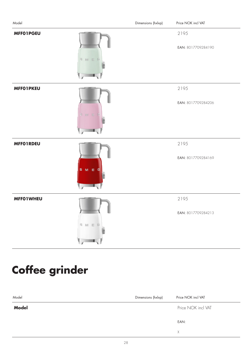| Model            |                            | Dimensions (hxlxp) | Price NOK incl VAT         |
|------------------|----------------------------|--------------------|----------------------------|
| <b>MFFO1PGEU</b> | S M E                      |                    | 2195<br>EAN: 8017709284190 |
| <b>MFFO1PKEU</b> | <b>B M E</b>               |                    | 2195<br>EAN: 8017709284206 |
| <b>MFFO1RDEU</b> | E                          |                    | 2195<br>EAN: 8017709284169 |
| <b>MFFO1WHEU</b> | - 11<br>SMEG<br>$\sqrt{2}$ |                    | 2195<br>EAN: 8017709284213 |

### **Coffee grinder**

| Model        | Dimensions (hxlxp) | Price NOK incl VAT |
|--------------|--------------------|--------------------|
| <b>Model</b> |                    | Price NOK incl VAT |
|              |                    | EAN:               |
|              |                    | X                  |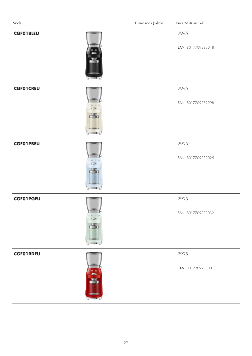| Model            |                                           | Dimensions (hxlxp) | Price NOK incl VAT         |
|------------------|-------------------------------------------|--------------------|----------------------------|
| <b>CGFO1BLEU</b> |                                           |                    | 2995<br>EAN: 8017709283018 |
| <b>CGFO1CREU</b> | $\frac{1}{\sqrt{2}}\sum_{i=1}^{N}$<br>d o |                    | 2995<br>EAN: 8017709282998 |
| <b>CGFO1PBEU</b> | èb                                        |                    | 2995<br>EAN: 8017709283025 |
| <b>CGF01PGEU</b> | TME<br>$\sim$<br>当<br>m.,                 |                    | 2995<br>EAN: 8017709283032 |
| <b>CGFO1RDEU</b> | <b>FREE</b>                               |                    | 2995<br>EAN: 8017709283001 |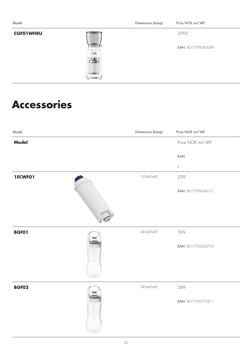| Model            |      | Dimensions (hxlxp) | Price NOK incl VAT |
|------------------|------|--------------------|--------------------|
| <b>CGFO1WHEU</b> |      |                    | 2995               |
|                  | THEE |                    | EAN: 8017709283049 |
|                  |      |                    |                    |
|                  |      |                    |                    |

#### **Accessories**

| Model        | Dimensions (hxlxp) | Price NOK incl VAT |
|--------------|--------------------|--------------------|
| Model        |                    | Price NOK incl VAT |
|              |                    | EAN:               |
|              |                    | $\mathsf X$        |
| 1ECWF01      | 155x60x40          | 299                |
|              |                    | EAN: 8017709284121 |
|              |                    |                    |
|              |                    |                    |
| <b>BGFO1</b> | 245x85x85          | 399                |
|              |                    | EAN: 8017709230753 |
| <b>BGF02</b> | 245x85x85          | 349                |
|              |                    | EAN: 8017709273811 |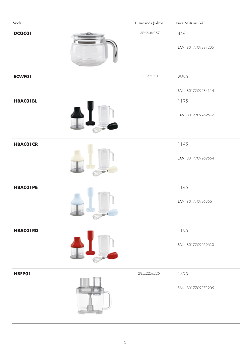| Model           | Dimensions (hxlxp) | Price NOK incl VAT        |
|-----------------|--------------------|---------------------------|
| DCGC01          | 138x208x157        | 449<br>EAN: 8017709281205 |
| <b>ECWFO1</b>   | 155x60x40          | 2995                      |
|                 |                    | EAN: 8017709284114        |
| <b>HBACO1BL</b> |                    | 1195                      |
|                 |                    | EAN: 8017709269647        |
| <b>HBACOICR</b> |                    | 1195                      |
|                 |                    | EAN: 8017709269654        |
| <b>HBACO1PB</b> |                    | 1195                      |
|                 |                    | EAN: 8017709269661        |
| <b>HBACO1RD</b> |                    | 1195                      |
|                 |                    | EAN: 8017709269630        |
| HBFP01          | 285x225x225        | 1395                      |
|                 |                    | EAN: 8017709278205        |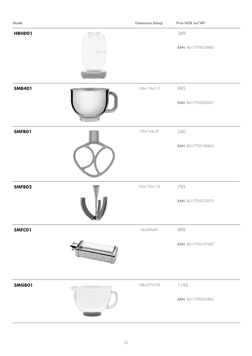| Model         | Dimensions (hxlxp) | Price NOK incl VAT         |
|---------------|--------------------|----------------------------|
| HBHD01        |                    | 349<br>EAN: 8017709258443  |
| <b>SMB401</b> | 124x174x215        | 995<br>EAN: 8017709202927  |
| SMFB01        | 160x143x35         | 240<br>EAN: 8017709198862  |
| SMFB02        | 160x130x110        | 795<br>EAN: 8017709272975  |
| SMFC01        | 54x240x85          | 999<br>EAN: 8017709197087  |
| SMGB01        | 168x237x254        | 1195<br>EAN: 8017709265885 |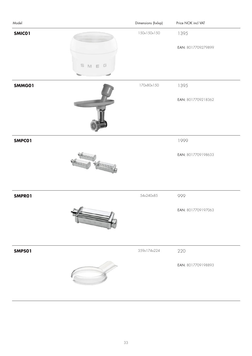| Model                 | Dimensions (hxlxp) | Price NOK incl VAT         |
|-----------------------|--------------------|----------------------------|
| <b>SMICO1</b><br>SMEG | 150x150x150        | 1395<br>EAN: 8017709279899 |
| SMMG01                | 170x80x150         | 1395<br>EAN: 8017709218362 |
| SMPC01                |                    | 1999<br>EAN: 8017709198633 |
| SMPRO1<br>الممساح     | 54x240x85          | 999<br>EAN: 8017709197063  |
| SMPS01                | 359x174x224        | 220<br>EAN: 8017709198893  |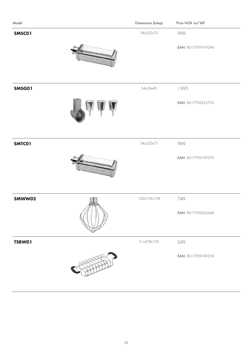| Model         | Dimensions (hxlxp) | Price NOK incl VAT |
|---------------|--------------------|--------------------|
| SMSC01        | 54x220x75          | 999                |
|               |                    | EAN: 8017709197094 |
|               |                    |                    |
| <b>SMSG01</b> | 54x24x40           | 1395               |
|               |                    | EAN: 8017709222703 |
| SMTC01        | 54x220x75          | 999                |
|               |                    | EAN: 8017709197070 |
| SMWW02        | 160x124x124        | 749                |
|               |                    | EAN: 8017709262648 |
| <b>TSBW01</b> | 51x278x103         | 249                |
|               |                    | EAN: 8017709189358 |